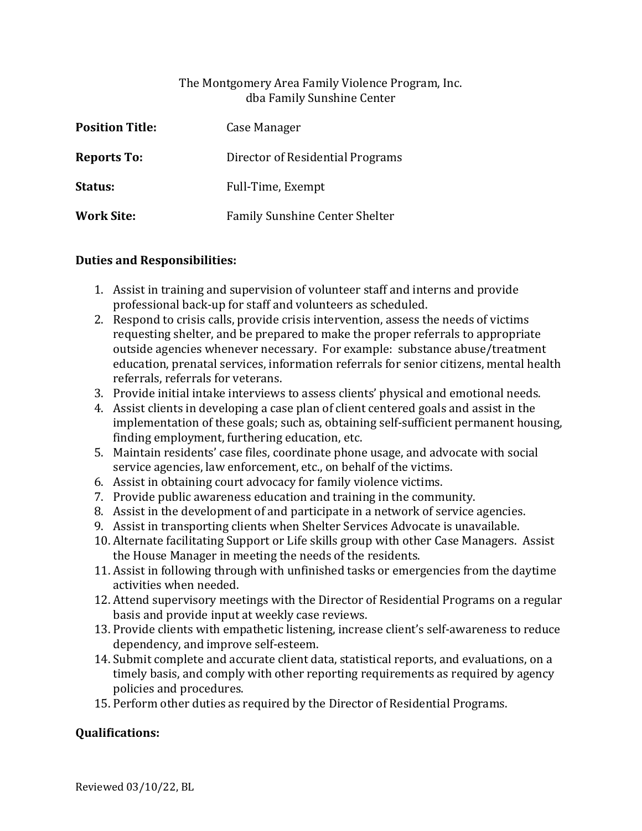## The Montgomery Area Family Violence Program, Inc. dba Family Sunshine Center

| <b>Position Title:</b> | Case Manager                     |
|------------------------|----------------------------------|
| <b>Reports To:</b>     | Director of Residential Programs |
| <b>Status:</b>         | Full-Time, Exempt                |
| <b>Work Site:</b>      | Family Sunshine Center Shelter   |

## **Duties and Responsibilities:**

- 1. Assist in training and supervision of volunteer staff and interns and provide professional back-up for staff and volunteers as scheduled.
- 2. Respond to crisis calls, provide crisis intervention, assess the needs of victims requesting shelter, and be prepared to make the proper referrals to appropriate outside agencies whenever necessary. For example: substance abuse/treatment education, prenatal services, information referrals for senior citizens, mental health referrals, referrals for veterans.
- 3. Provide initial intake interviews to assess clients' physical and emotional needs.
- 4. Assist clients in developing a case plan of client centered goals and assist in the implementation of these goals; such as, obtaining self-sufficient permanent housing, finding employment, furthering education, etc.
- 5. Maintain residents' case files, coordinate phone usage, and advocate with social service agencies, law enforcement, etc., on behalf of the victims.
- 6. Assist in obtaining court advocacy for family violence victims.
- 7. Provide public awareness education and training in the community.
- 8. Assist in the development of and participate in a network of service agencies.
- 9. Assist in transporting clients when Shelter Services Advocate is unavailable.
- 10. Alternate facilitating Support or Life skills group with other Case Managers. Assist the House Manager in meeting the needs of the residents.
- 11. Assist in following through with unfinished tasks or emergencies from the daytime activities when needed.
- 12. Attend supervisory meetings with the Director of Residential Programs on a regular basis and provide input at weekly case reviews.
- 13. Provide clients with empathetic listening, increase client's self-awareness to reduce dependency, and improve self-esteem.
- 14. Submit complete and accurate client data, statistical reports, and evaluations, on a timely basis, and comply with other reporting requirements as required by agency policies and procedures.
- 15. Perform other duties as required by the Director of Residential Programs.

## **Qualifications:**